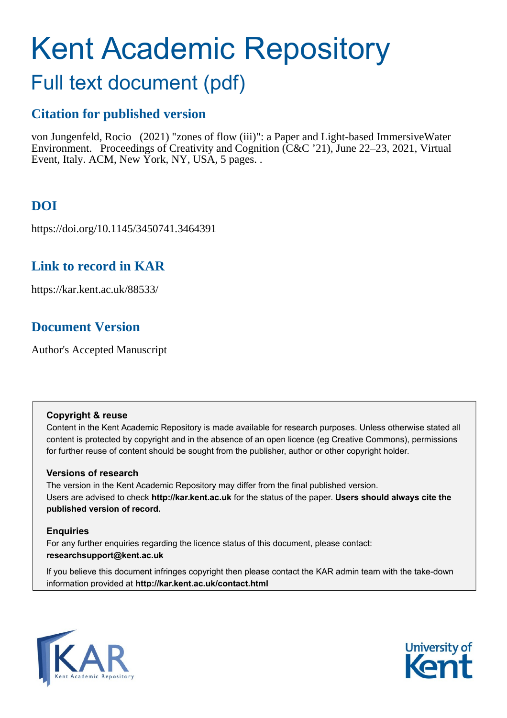# Kent Academic Repository

# Full text document (pdf)

# **Citation for published version**

von Jungenfeld, Rocio (2021) "zones of flow (iii)": a Paper and Light-based ImmersiveWater Environment. Proceedings of Creativity and Cognition (C&C '21), June 22–23, 2021, Virtual Event, Italy. ACM, New York, NY, USA, 5 pages. .

# **DOI**

https://doi.org/10.1145/3450741.3464391

# **Link to record in KAR**

https://kar.kent.ac.uk/88533/

# **Document Version**

Author's Accepted Manuscript

# **Copyright & reuse**

Content in the Kent Academic Repository is made available for research purposes. Unless otherwise stated all content is protected by copyright and in the absence of an open licence (eg Creative Commons), permissions for further reuse of content should be sought from the publisher, author or other copyright holder.

# **Versions of research**

The version in the Kent Academic Repository may differ from the final published version. Users are advised to check **http://kar.kent.ac.uk** for the status of the paper. **Users should always cite the published version of record.**

# **Enquiries**

For any further enquiries regarding the licence status of this document, please contact: **researchsupport@kent.ac.uk**

If you believe this document infringes copyright then please contact the KAR admin team with the take-down information provided at **http://kar.kent.ac.uk/contact.html**



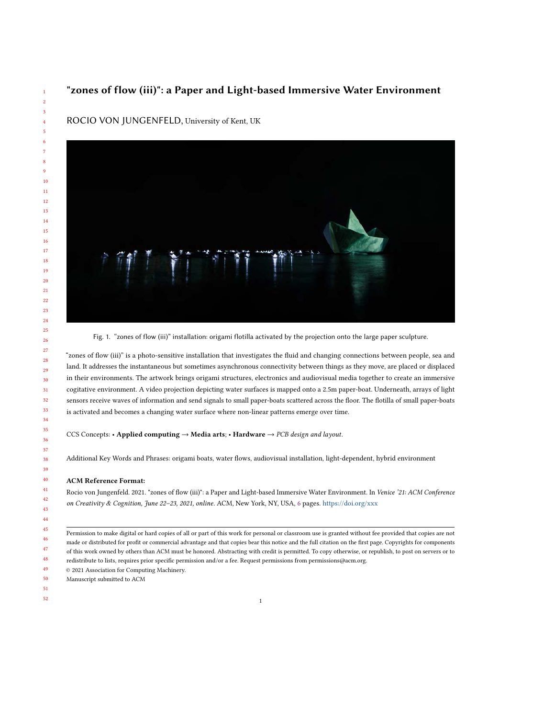## "zones of flow (iii)": a Paper and Light-based Immersive Water Environment



ROCIO VON JUNGENFELD, University of Kent, UK

Fig. 1. "zones of flow (iii)" installation: origami flotilla activated by the projection onto the large paper sculpture.

"zones of flow (iii)" is a photo-sensitive installation that investigates the fluid and changing connections between people, sea and land. It addresses the instantaneous but sometimes asynchronous connectivity between things as they move, are placed or displaced in their environments. The artwork brings origami structures, electronics and audiovisual media together to create an immersive cogitative environment. A video projection depicting water surfaces is mapped onto a 2.5m paper-boat. Underneath, arrays of light sensors receive waves of information and send signals to small paper-boats scattered across the floor. The flotilla of small paper-boats is activated and becomes a changing water surface where non-linear patterns emerge over time.

CCS Concepts: • Applied computing → Media arts; • Hardware → PCB design and layout.

Additional Key Words and Phrases: origami boats, water flows, audiovisual installation, light-dependent, hybrid environment

#### ACM Reference Format:

Rocio von Jungenfeld. 2021. "zones of flow (iii)": a Paper and Light-based Immersive Water Environment. In Venice '21: ACM Conference on Creativity & Cognition, June 22–23, 2021, online. ACM, New York, NY, USA, 6 pages. <https://doi.org/xxx>

- © 2021 Association for Computing Machinery.
- Manuscript submitted to ACM
- 

Permission to make digital or hard copies of all or part of this work for personal or classroom use is granted without fee provided that copies are not made or distributed for profit or commercial advantage and that copies bear this notice and the full citation on the first page. Copyrights for components of this work owned by others than ACM must be honored. Abstracting with credit is permitted. To copy otherwise, or republish, to post on servers or to redistribute to lists, requires prior specific permission and/or a fee. Request permissions from permissions@acm.org.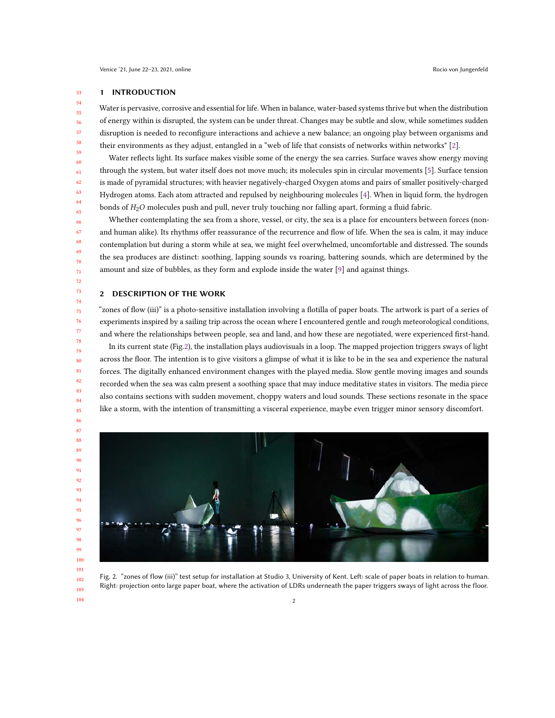## 1 INTRODUCTION

Water is pervasive, corrosive and essential for life. When in balance, water-based systems thrive but when the distribution of energy within is disrupted, the system can be under threat. Changes may be subtle and slow, while sometimes sudden disruption is needed to reconfigure interactions and achieve a new balance; an ongoing play between organisms and their environments as they adjust, entangled in a "web of life that consists of networks within networks" [2].

Water reflects light. Its surface makes visible some of the energy the sea carries. Surface waves show energy moving through the system, but water itself does not move much; its molecules spin in circular movements [5]. Surface tension is made of pyramidal structures; with heavier negatively-charged Oxygen atoms and pairs of smaller positively-charged Hydrogen atoms. Each atom attracted and repulsed by neighbouring molecules [4]. When in liquid form, the hydrogen bonds of  $H_2O$  molecules push and pull, never truly touching nor falling apart, forming a fluid fabric.

Whether contemplating the sea from a shore, vessel, or city, the sea is a place for encounters between forces (nonand human alike). Its rhythms offer reassurance of the recurrence and flow of life. When the sea is calm, it may induce contemplation but during a storm while at sea, we might feel overwhelmed, uncomfortable and distressed. The sounds the sea produces are distinct: soothing, lapping sounds vs roaring, battering sounds, which are determined by the amount and size of bubbles, as they form and explode inside the water [9] and against things.

## 2 DESCRIPTION OF THE WORK

"zones of flow (iii)" is a photo-sensitive installation involving a flotilla of paper boats. The artwork is part of a series of experiments inspired by a sailing trip across the ocean where I encountered gentle and rough meteorological conditions, and where the relationships between people, sea and land, and how these are negotiated, were experienced first-hand.

In its current state (Fig.2), the installation plays audiovisuals in a loop. The mapped projection triggers sways of light across the floor. The intention is to give visitors a glimpse of what it is like to be in the sea and experience the natural forces. The digitally enhanced environment changes with the played media. Slow gentle moving images and sounds recorded when the sea was calm present a soothing space that may induce meditative states in visitors. The media piece also contains sections with sudden movement, choppy waters and loud sounds. These sections resonate in the space like a storm, with the intention of transmitting a visceral experience, maybe even trigger minor sensory discomfort.



Fig. 2. "zones of flow (iii)" test setup for installation at Studio 3, University of Kent. Left: scale of paper boats in relation to human. Right: projection onto large paper boat, where the activation of LDRs underneath the paper triggers sways of light across the floor.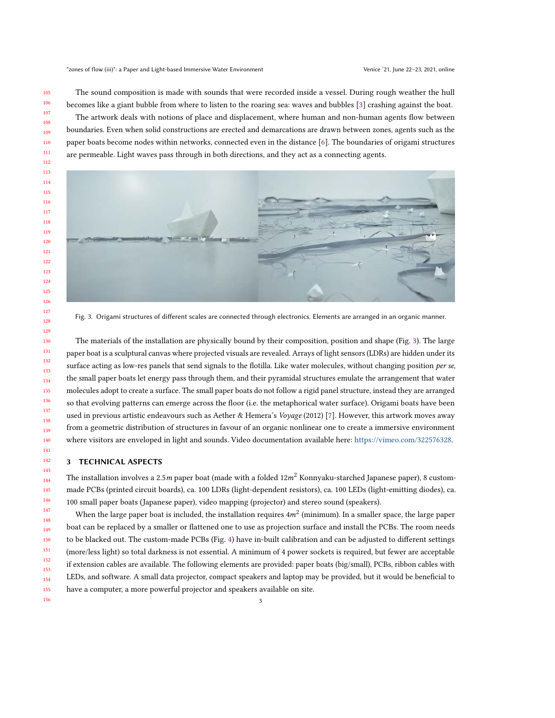The sound composition is made with sounds that were recorded inside a vessel. During rough weather the hull becomes like a giant bubble from where to listen to the roaring sea: waves and bubbles [3] crashing against the boat.

The artwork deals with notions of place and displacement, where human and non-human agents flow between boundaries. Even when solid constructions are erected and demarcations are drawn between zones, agents such as the paper boats become nodes within networks, connected even in the distance [6]. The boundaries of origami structures are permeable. Light waves pass through in both directions, and they act as a connecting agents.



Fig. 3. Origami structures of different scales are connected through electronics. Elements are arranged in an organic manner.

The materials of the installation are physically bound by their composition, position and shape (Fig. 3). The large paper boat is a sculptural canvas where projected visuals are revealed. Arrays of light sensors (LDRs) are hidden under its surface acting as low-res panels that send signals to the flotilla. Like water molecules, without changing position per se, the small paper boats let energy pass through them, and their pyramidal structures emulate the arrangement that water molecules adopt to create a surface. The small paper boats do not follow a rigid panel structure, instead they are arranged so that evolving patterns can emerge across the floor (i.e. the metaphorical water surface). Origami boats have been used in previous artistic endeavours such as Aether & Hemera's Voyage (2012) [7]. However, this artwork moves away from a geometric distribution of structures in favour of an organic nonlinear one to create a immersive environment where visitors are enveloped in light and sounds. Video documentation available here: [https://vimeo.com/322576328.](https://vimeo.com/322576328)

## 3 TECHNICAL ASPECTS

The installation involves a 2.5m paper boat (made with a folded  $12m^2$  Konnyaku-starched Japanese paper), 8 custommade PCBs (printed circuit boards), ca. 100 LDRs (light-dependent resistors), ca. 100 LEDs (light-emitting diodes), ca. 100 small paper boats (Japanese paper), video mapping (projector) and stereo sound (speakers).

 When the large paper boat is included, the installation requires 4 $m^2$  (minimum). In a smaller space, the large paper boat can be replaced by a smaller or flattened one to use as projection surface and install the PCBs. The room needs to be blacked out. The custom-made PCBs (Fig. 4) have in-built calibration and can be adjusted to different settings (more/less light) so total darkness is not essential. A minimum of 4 power sockets is required, but fewer are acceptable if extension cables are available. The following elements are provided: paper boats (big/small), PCBs, ribbon cables with LEDs, and software. A small data projector, compact speakers and laptop may be provided, but it would be beneficial to have a computer, a more powerful projector and speakers available on site.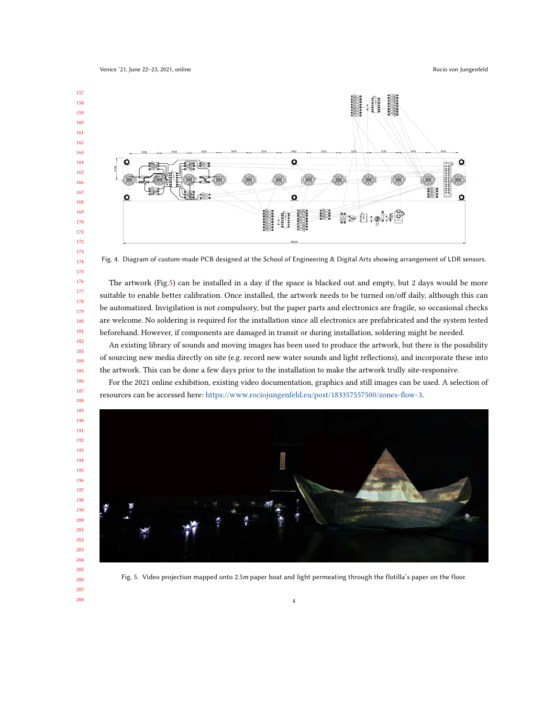

Fig. 4. Diagram of custom-made PCB designed at the School of Engineering & Digital Arts showing arrangement of LDR sensors.

The artwork (Fig.5) can be installed in a day if the space is blacked out and empty, but 2 days would be more suitable to enable better calibration. Once installed, the artwork needs to be turned on/off daily, although this can be automatized. Invigilation is not compulsory, but the paper parts and electronics are fragile, so occasional checks are welcome. No soldering is required for the installation since all electronics are prefabricated and the system tested beforehand. However, if components are damaged in transit or during installation, soldering might be needed.

An existing library of sounds and moving images has been used to produce the artwork, but there is the possibility of sourcing new media directly on site (e.g. record new water sounds and light reflections), and incorporate these into the artwork. This can be done a few days prior to the installation to make the artwork trully site-responsive.

For the 2021 online exhibition, existing video documentation, graphics and still images can be used. A selection of resources can be accessed here: [https://www.rociojungenfeld.eu/post/183357557500/zones-flow-3.](https://www.rociojungenfeld.eu/post/183357557500/zones-flow-3)



Fig. 5. Video projection mapped onto 2.5m paper boat and light permeating through the flotilla's paper on the floor.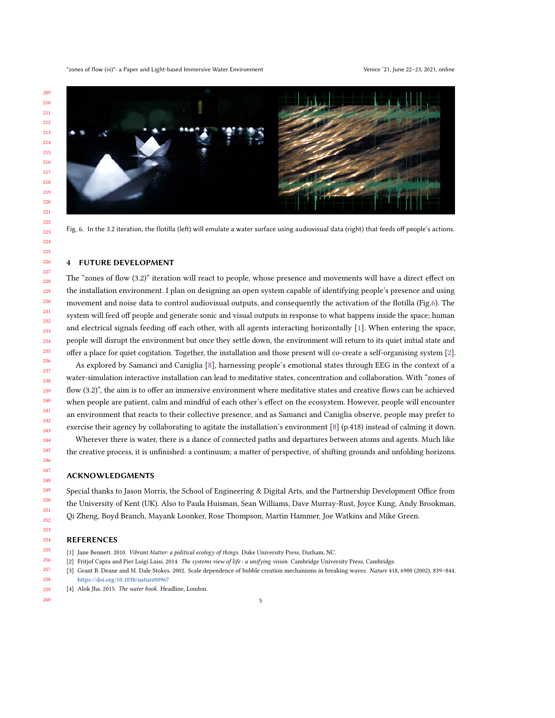

Fig. 6. In the 3.2 iteration, the flotilla (left) will emulate a water surface using audiovisual data (right) that feeds off people's actions.

## 4 FUTURE DEVELOPMENT

The "zones of flow (3.2)" iteration will react to people, whose presence and movements will have a direct effect on the installation environment. I plan on designing an open system capable of identifying people's presence and using movement and noise data to control audiovisual outputs, and consequently the activation of the flotilla (Fig.6). The system will feed off people and generate sonic and visual outputs in response to what happens inside the space; human and electrical signals feeding off each other, with all agents interacting horizontally [1]. When entering the space, people will disrupt the environment but once they settle down, the environment will return to its quiet initial state and offer a place for quiet cogitation. Together, the installation and those present will co-create a self-organising system [2].

As explored by Samanci and Caniglia [8], harnessing people's emotional states through EEG in the context of a water-simulation interactive installation can lead to meditative states, concentration and collaboration. With "zones of flow (3.2)", the aim is to offer an immersive environment where meditative states and creative flows can be achieved when people are patient, calm and mindful of each other's effect on the ecosystem. However, people will encounter an environment that reacts to their collective presence, and as Samanci and Caniglia observe, people may prefer to exercise their agency by collaborating to agitate the installation's environment [8] (p.418) instead of calming it down.

Wherever there is water, there is a dance of connected paths and departures between atoms and agents. Much like the creative process, it is unfinished: a continuum; a matter of perspective, of shifting grounds and unfolding horizons.

#### ACKNOWLEDGMENTS

Special thanks to Jason Morris, the School of Engineering & Digital Arts, and the Partnership Development Office from the University of Kent (UK). Also to Paula Huisman, Sean Williams, Dave Murray-Rust, Joyce Kung, Andy Brookman, Qi Zheng, Boyd Branch, Mayank Loonker, Rose Thompson, Martin Hammer, Joe Watkins and Mike Green.

#### REFERENCES

- [1] Jane Bennett. 2010. Vibrant Matter: a political ecology of things. Duke University Press, Durham, NC.
- [2] Fritjof Capra and Pier Luigi Luisi. 2014. The systems view of life : a unifying vision. Cambridge University Press, Cambridge.
- [3] Grant B. Deane and M. Dale Stokes. 2002. Scale dependence of bubble creation mechanisms in breaking waves. Nature 418, 6900 (2002), 839–844. <https://doi.org/10.1038/nature00967>
- [4] Alok Jha. 2015. The water book. Headline, London.